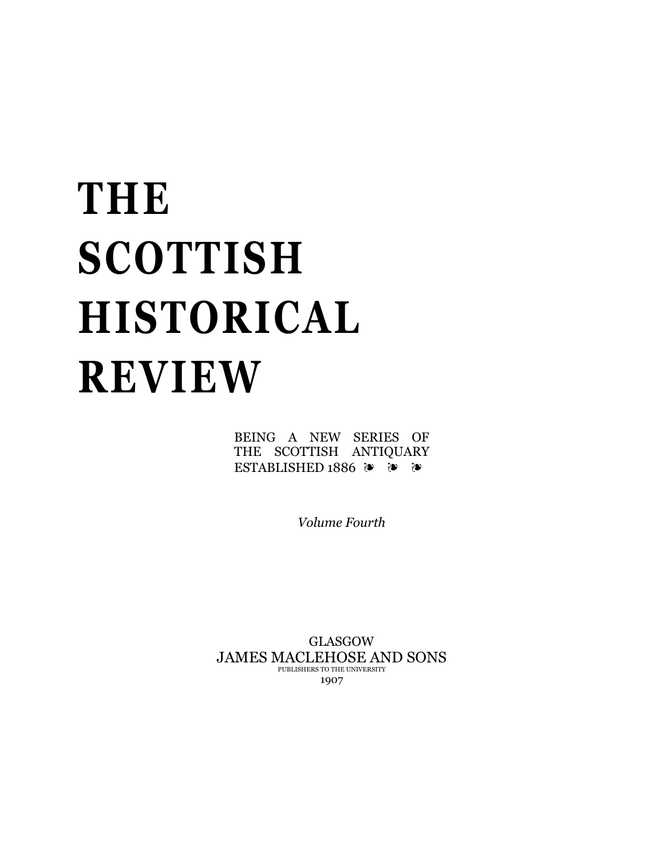# **THE SCOTTISH HISTORICAL REVIEW**

BEING A NEW SERIES OF THE SCOTTISH ANTIQUARY ESTABLISHED 1886 ❧ ❧ ❧

*Volume Fourth*

GLASGOW JAMES MACLEHOSE AND SONS PUBLISHERS TO THE UNIVERSITY 1907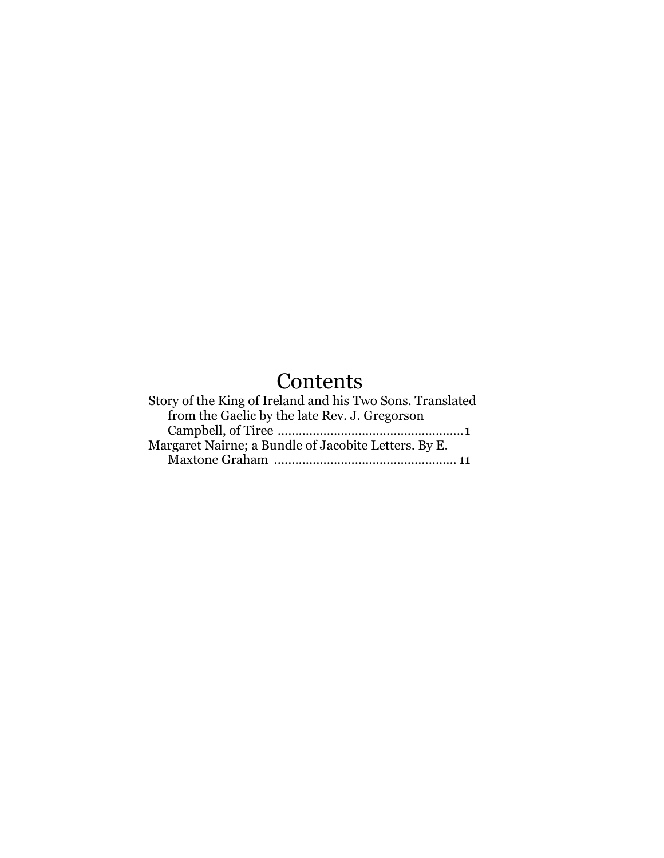## **Contents**

| Story of the King of Ireland and his Two Sons. Translated |
|-----------------------------------------------------------|
| from the Gaelic by the late Rev. J. Gregorson             |
|                                                           |
| Margaret Nairne; a Bundle of Jacobite Letters. By E.      |
|                                                           |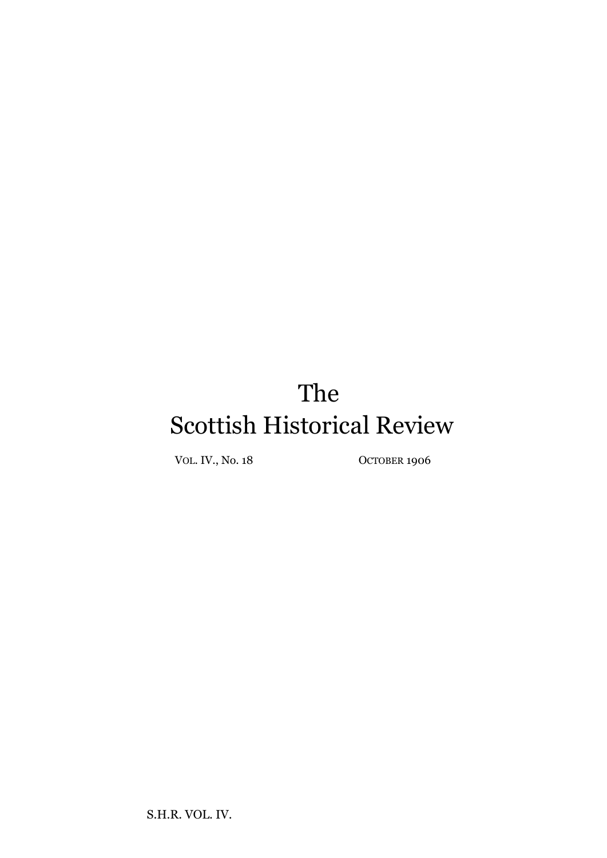## The Scottish Historical Review

VOL. IV., No. 18 OCTOBER 1906

S.H.R. VOL. IV.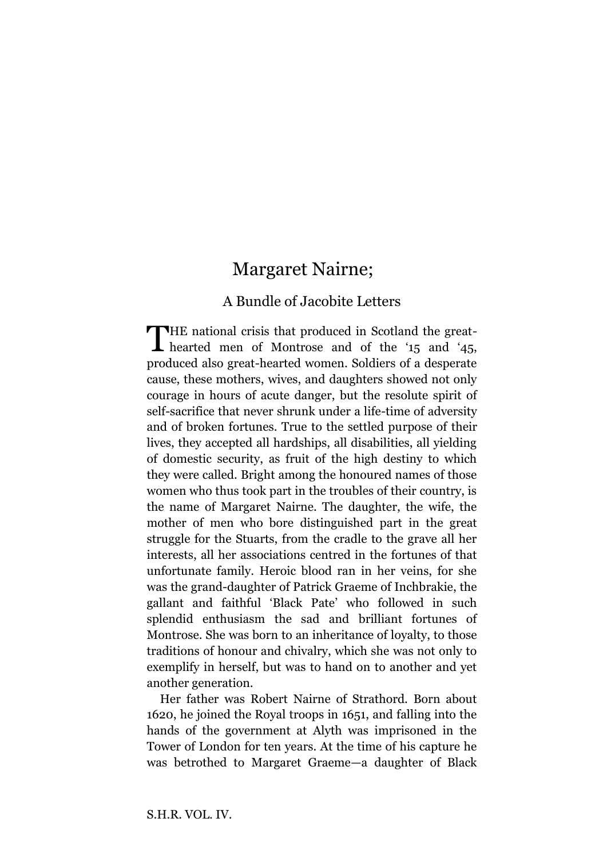### Margaret Nairne;

#### A Bundle of Jacobite Letters

HE national crisis that produced in Scotland the great-THE national crisis that produced in Scotland the great-<br>hearted men of Montrose and of the '15 and '45, produced also great-hearted women. Soldiers of a desperate cause, these mothers, wives, and daughters showed not only courage in hours of acute danger, but the resolute spirit of self-sacrifice that never shrunk under a life-time of adversity and of broken fortunes. True to the settled purpose of their lives, they accepted all hardships, all disabilities, all yielding of domestic security, as fruit of the high destiny to which they were called. Bright among the honoured names of those women who thus took part in the troubles of their country, is the name of Margaret Nairne. The daughter, the wife, the mother of men who bore distinguished part in the great struggle for the Stuarts, from the cradle to the grave all her interests, all her associations centred in the fortunes of that unfortunate family. Heroic blood ran in her veins, for she was the grand-daughter of Patrick Graeme of Inchbrakie, the gallant and faithful 'Black Pate' who followed in such splendid enthusiasm the sad and brilliant fortunes of Montrose. She was born to an inheritance of loyalty, to those traditions of honour and chivalry, which she was not only to exemplify in herself, but was to hand on to another and yet another generation.

Her father was Robert Nairne of Strathord. Born about 1620, he joined the Royal troops in 1651, and falling into the hands of the government at Alyth was imprisoned in the Tower of London for ten years. At the time of his capture he was betrothed to Margaret Graeme—a daughter of Black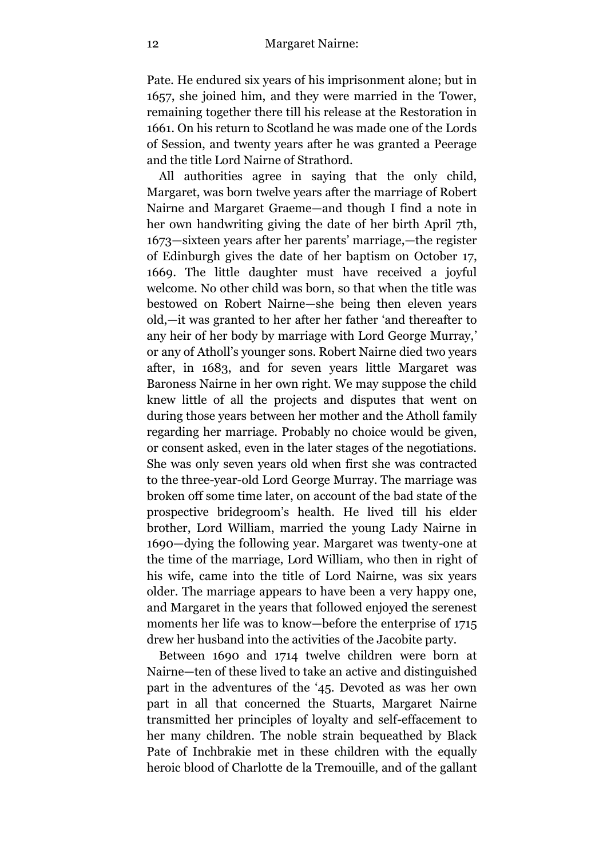Pate. He endured six years of his imprisonment alone; but in 1657, she joined him, and they were married in the Tower, remaining together there till his release at the Restoration in 1661. On his return to Scotland he was made one of the Lords of Session, and twenty years after he was granted a Peerage and the title Lord Nairne of Strathord.

All authorities agree in saying that the only child, Margaret, was born twelve years after the marriage of Robert Nairne and Margaret Graeme—and though I find a note in her own handwriting giving the date of her birth April 7th, 1673—sixteen years after her parents' marriage,—the register of Edinburgh gives the date of her baptism on October 17, 1669. The little daughter must have received a joyful welcome. No other child was born, so that when the title was bestowed on Robert Nairne—she being then eleven years old,—it was granted to her after her father 'and thereafter to any heir of her body by marriage with Lord George Murray,' or any of Atholl's younger sons. Robert Nairne died two years after, in 1683, and for seven years little Margaret was Baroness Nairne in her own right. We may suppose the child knew little of all the projects and disputes that went on during those years between her mother and the Atholl family regarding her marriage. Probably no choice would be given, or consent asked, even in the later stages of the negotiations. She was only seven years old when first she was contracted to the three-year-old Lord George Murray. The marriage was broken off some time later, on account of the bad state of the prospective bridegroom's health. He lived till his elder brother, Lord William, married the young Lady Nairne in 1690—dying the following year. Margaret was twenty-one at the time of the marriage, Lord William, who then in right of his wife, came into the title of Lord Nairne, was six years older. The marriage appears to have been a very happy one, and Margaret in the years that followed enjoyed the serenest moments her life was to know—before the enterprise of 1715 drew her husband into the activities of the Jacobite party.

Between 1690 and 1714 twelve children were born at Nairne—ten of these lived to take an active and distinguished part in the adventures of the '45. Devoted as was her own part in all that concerned the Stuarts, Margaret Nairne transmitted her principles of loyalty and self-effacement to her many children. The noble strain bequeathed by Black Pate of Inchbrakie met in these children with the equally heroic blood of Charlotte de la Tremouille, and of the gallant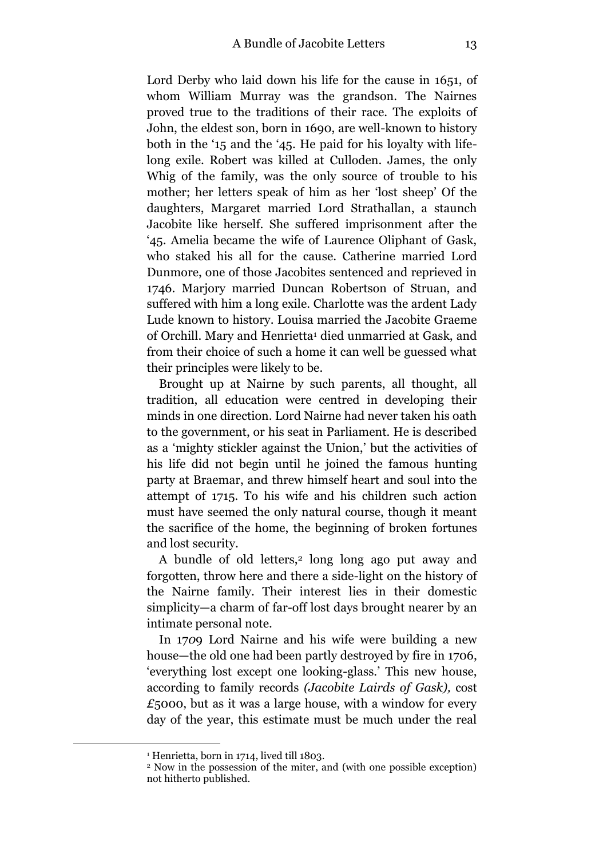Lord Derby who laid down his life for the cause in 1651, of whom William Murray was the grandson. The Nairnes proved true to the traditions of their race. The exploits of John, the eldest son, born in 1690, are well-known to history both in the '15 and the '45. He paid for his loyalty with lifelong exile. Robert was killed at Culloden. James, the only Whig of the family, was the only source of trouble to his mother; her letters speak of him as her 'lost sheep' Of the daughters, Margaret married Lord Strathallan, a staunch Jacobite like herself. She suffered imprisonment after the '45. Amelia became the wife of Laurence Oliphant of Gask, who staked his all for the cause. Catherine married Lord Dunmore, one of those Jacobites sentenced and reprieved in 1746. Marjory married Duncan Robertson of Struan, and suffered with him a long exile. Charlotte was the ardent Lady Lude known to history. Louisa married the Jacobite Graeme of Orchill. Mary and Henrietta<sup>1</sup> died unmarried at Gask, and from their choice of such a home it can well be guessed what their principles were likely to be.

Brought up at Nairne by such parents, all thought, all tradition, all education were centred in developing their minds in one direction. Lord Nairne had never taken his oath to the government, or his seat in Parliament. He is described as a 'mighty stickler against the Union,' but the activities of his life did not begin until he joined the famous hunting party at Braemar, and threw himself heart and soul into the attempt of 1715. To his wife and his children such action must have seemed the only natural course, though it meant the sacrifice of the home, the beginning of broken fortunes and lost security.

A bundle of old letters,<sup>2</sup> long long ago put away and forgotten, throw here and there a side-light on the history of the Nairne family. Their interest lies in their domestic simplicity—a charm of far-off lost days brought nearer by an intimate personal note.

In 17*0*9 Lord Nairne and his wife were building a new house—the old one had been partly destroyed by fire in 1706, 'everything lost except one looking-glass.' This new house, according to family records *(Jacobite Lairds of Gask),* cost *£*5000, but as it was a large house, with a window for every day of the year, this estimate must be much under the real

-

<sup>&</sup>lt;sup>1</sup> Henrietta, born in 1714, lived till 1803.

<sup>2</sup> Now in the possession of the miter, and (with one possible exception) not hitherto published.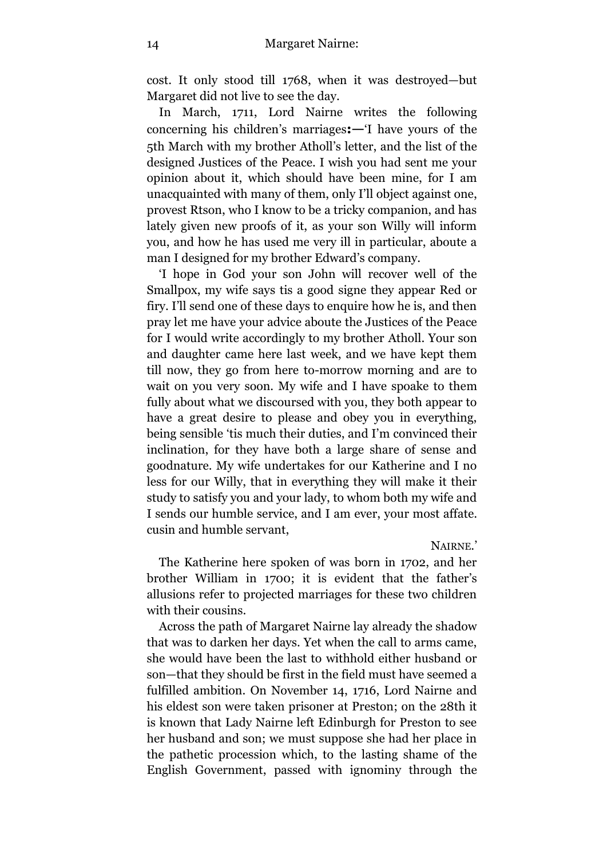cost. It only stood till 1768, when it was destroyed—but Margaret did not live to see the day.

In March, 1711, Lord Nairne writes the following concerning his children's marriages**:—**'I have yours of the 5th March with my brother Atholl's letter, and the list of the designed Justices of the Peace. I wish you had sent me your opinion about it, which should have been mine, for I am unacquainted with many of them, only I'll object against one, provest Rtson, who I know to be a tricky companion, and has lately given new proofs of it, as your son Willy will inform you, and how he has used me very ill in particular, aboute a man I designed for my brother Edward's company.

'I hope in God your son John will recover well of the Smallpox, my wife says tis a good signe they appear Red or firy. I'll send one of these days to enquire how he is, and then pray let me have your advice aboute the Justices of the Peace for I would write accordingly to my brother Atholl. Your son and daughter came here last week, and we have kept them till now, they go from here to-morrow morning and are to wait on you very soon. My wife and I have spoake to them fully about what we discoursed with you, they both appear to have a great desire to please and obey you in everything, being sensible 'tis much their duties, and I'm convinced their inclination, for they have both a large share of sense and goodnature. My wife undertakes for our Katherine and I no less for our Willy, that in everything they will make it their study to satisfy you and your lady, to whom both my wife and I sends our humble service, and I am ever, your most affate. cusin and humble servant,

NAIRNE.'

The Katherine here spoken of was born in 1702, and her brother William in 1700; it is evident that the father's allusions refer to projected marriages for these two children with their cousins.

Across the path of Margaret Nairne lay already the shadow that was to darken her days. Yet when the call to arms came, she would have been the last to withhold either husband or son—that they should be first in the field must have seemed a fulfilled ambition. On November 14, 1716, Lord Nairne and his eldest son were taken prisoner at Preston; on the 28th it is known that Lady Nairne left Edinburgh for Preston to see her husband and son; we must suppose she had her place in the pathetic procession which, to the lasting shame of the English Government, passed with ignominy through the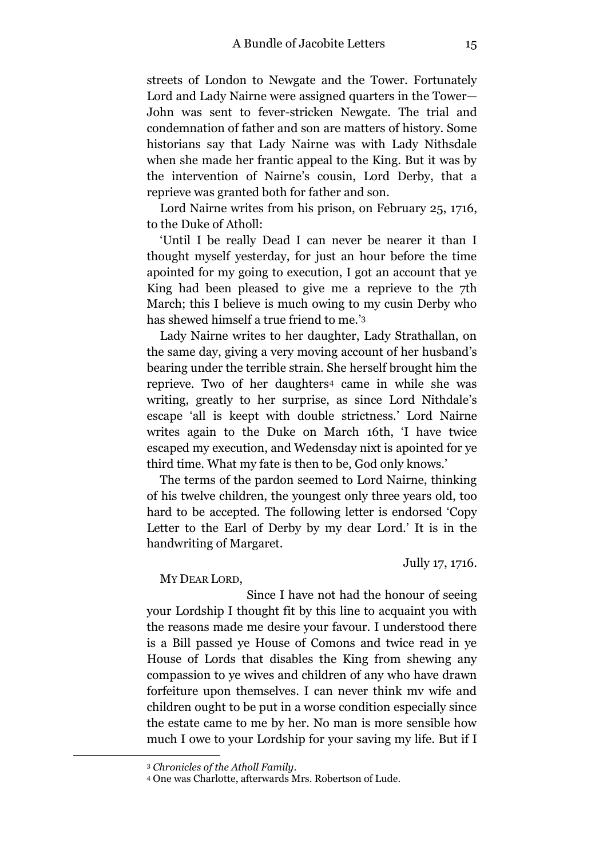streets of London to Newgate and the Tower. Fortunately Lord and Lady Nairne were assigned quarters in the Tower— John was sent to fever-stricken Newgate. The trial and condemnation of father and son are matters of history. Some historians say that Lady Nairne was with Lady Nithsdale when she made her frantic appeal to the King. But it was by the intervention of Nairne's cousin, Lord Derby, that a reprieve was granted both for father and son.

Lord Nairne writes from his prison, on February 25, 1716, to the Duke of Atholl:

'Until I be really Dead I can never be nearer it than I thought myself yesterday, for just an hour before the time apointed for my going to execution, I got an account that ye King had been pleased to give me a reprieve to the 7th March; this I believe is much owing to my cusin Derby who has shewed himself a true friend to me.' 3

Lady Nairne writes to her daughter, Lady Strathallan, on the same day, giving a very moving account of her husband's bearing under the terrible strain. She herself brought him the reprieve. Two of her daughters<sup>4</sup> came in while she was writing, greatly to her surprise, as since Lord Nithdale's escape 'all is keept with double strictness.' Lord Nairne writes again to the Duke on March 16th, 'I have twice escaped my execution, and Wedensday nixt is apointed for ye third time. What my fate is then to be, God only knows.'

The terms of the pardon seemed to Lord Nairne, thinking of his twelve children, the youngest only three years old, too hard to be accepted. The following letter is endorsed 'Copy Letter to the Earl of Derby by my dear Lord.' It is in the handwriting of Margaret.

Jully 17, 1716.

MY DEAR LORD,

Since I have not had the honour of seeing your Lordship I thought fit by this line to acquaint you with the reasons made me desire your favour. I understood there is a Bill passed ye House of Comons and twice read in ye House of Lords that disables the King from shewing any compassion to ye wives and children of any who have drawn forfeiture upon themselves. I can never think mv wife and children ought to be put in a worse condition especially since the estate came to me by her. No man is more sensible how much I owe to your Lordship for your saving my life. But if I

<sup>3</sup> *Chronicles of the Atholl Family*.

<sup>4</sup> One was Charlotte, afterwards Mrs. Robertson of Lude.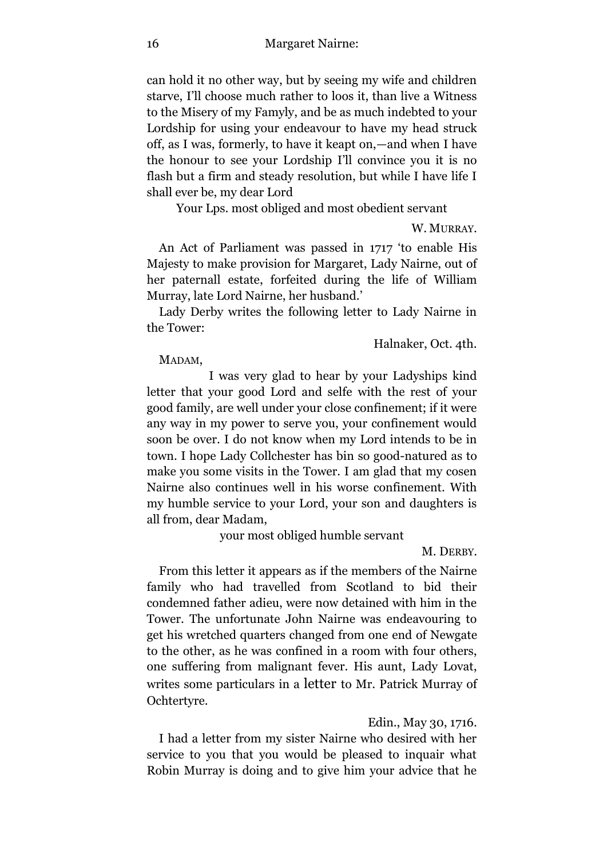can hold it no other way, but by seeing my wife and children starve, I'll choose much rather to loos it, than live a Witness to the Misery of my Famyly, and be as much indebted to your Lordship for using your endeavour to have my head struck off, as I was, formerly, to have it keapt on,—and when I have the honour to see your Lordship I'll convince you it is no flash but a firm and steady resolution, but while I have life I shall ever be, my dear Lord

Your Lps. most obliged and most obedient servant

W. MURRAY.

An Act of Parliament was passed in 1717 'to enable His Majesty to make provision for Margaret, Lady Nairne, out of her paternall estate, forfeited during the life of William Murray, late Lord Nairne, her husband.'

Lady Derby writes the following letter to Lady Nairne in the Tower:

Halnaker, Oct. 4th.

MADAM,

I was very glad to hear by your Ladyships kind letter that your good Lord and selfe with the rest of your good family, are well under your close confinement; if it were any way in my power to serve you, your confinement would soon be over. I do not know when my Lord intends to be in town. I hope Lady Collchester has bin so good-natured as to make you some visits in the Tower. I am glad that my cosen Nairne also continues well in his worse confinement. With my humble service to your Lord, your son and daughters is all from, dear Madam,

your most obliged humble servant

M. DERBY.

From this letter it appears as if the members of the Nairne family who had travelled from Scotland to bid their condemned father adieu, were now detained with him in the Tower. The unfortunate John Nairne was endeavouring to get his wretched quarters changed from one end of Newgate to the other, as he was confined in a room with four others, one suffering from malignant fever. His aunt, Lady Lovat, writes some particulars in a letter to Mr. Patrick Murray of Ochtertyre.

Edin., May 30, 1716.

I had a letter from my sister Nairne who desired with her service to you that you would be pleased to inquair what Robin Murray is doing and to give him your advice that he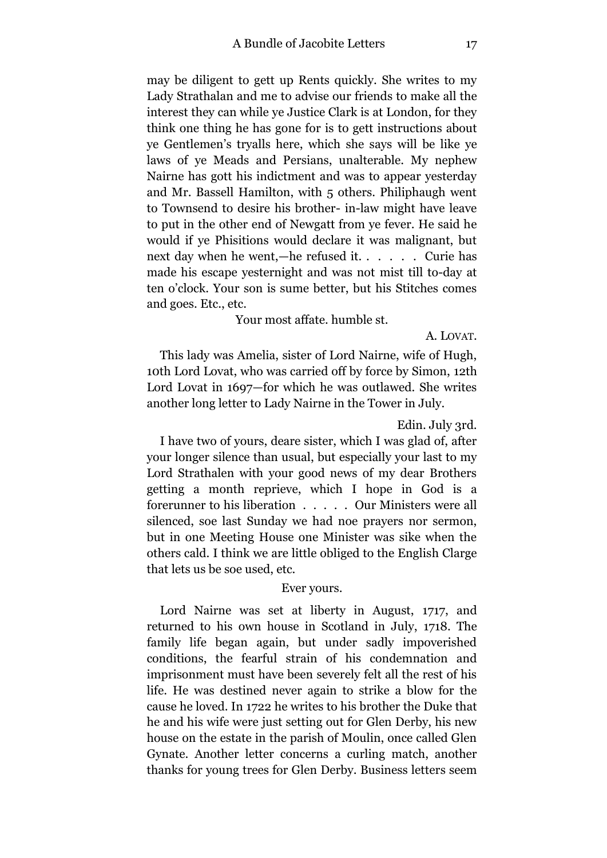may be diligent to gett up Rents quickly. She writes to my Lady Strathalan and me to advise our friends to make all the interest they can while ye Justice Clark is at London, for they think one thing he has gone for is to gett instructions about ye Gentlemen's tryalls here, which she says will be like ye laws of ye Meads and Persians, unalterable. My nephew Nairne has gott his indictment and was to appear yesterday and Mr. Bassell Hamilton, with 5 others. Philiphaugh went to Townsend to desire his brother- in-law might have leave to put in the other end of Newgatt from ye fever. He said he would if ye Phisitions would declare it was malignant, but next day when he went,—he refused it. . . . . . Curie has made his escape yesternight and was not mist till to-day at ten o'clock. Your son is sume better, but his Stitches comes and goes. Etc., etc.

#### Your most affate. humble st.

A. LOVAT.

This lady was Amelia, sister of Lord Nairne, wife of Hugh, 10th Lord Lovat, who was carried off by force by Simon, 12th Lord Lovat in 1697—for which he was outlawed. She writes another long letter to Lady Nairne in the Tower in July.

#### Edin. July 3rd.

I have two of yours, deare sister, which I was glad of, after your longer silence than usual, but especially your last to my Lord Strathalen with your good news of my dear Brothers getting a month reprieve, which I hope in God is a forerunner to his liberation . . . . . Our Ministers were all silenced, soe last Sunday we had noe prayers nor sermon, but in one Meeting House one Minister was sike when the others cald. I think we are little obliged to the English Clarge that lets us be soe used, etc.

#### Ever yours.

Lord Nairne was set at liberty in August, 1717, and returned to his own house in Scotland in July, 1718. The family life began again, but under sadly impoverished conditions, the fearful strain of his condemnation and imprisonment must have been severely felt all the rest of his life. He was destined never again to strike a blow for the cause he loved. In 1722 he writes to his brother the Duke that he and his wife were just setting out for Glen Derby, his new house on the estate in the parish of Moulin, once called Glen Gynate. Another letter concerns a curling match, another thanks for young trees for Glen Derby. Business letters seem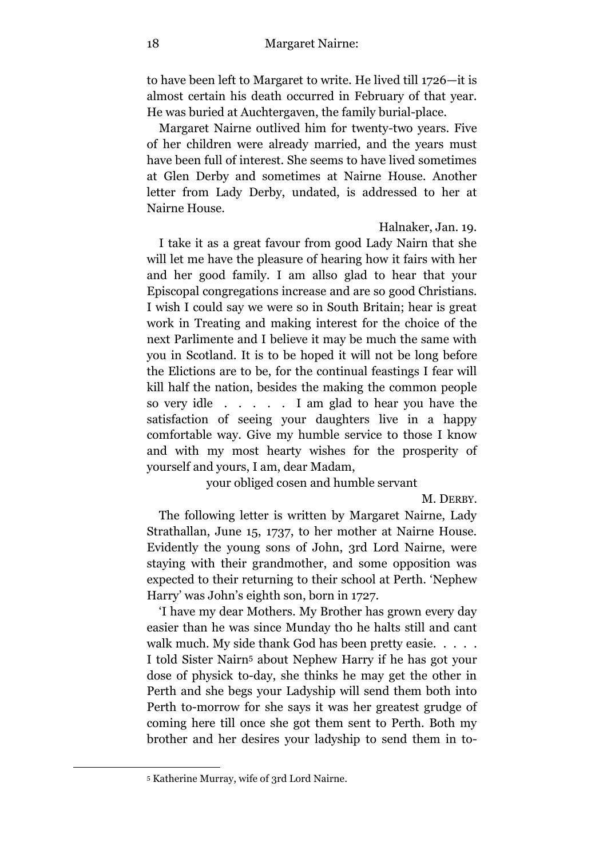to have been left to Margaret to write. He lived till 1726—it is almost certain his death occurred in February of that year. He was buried at Auchtergaven, the family burial-place.

Margaret Nairne outlived him for twenty-two years. Five of her children were already married, and the years must have been full of interest. She seems to have lived sometimes at Glen Derby and sometimes at Nairne House. Another letter from Lady Derby, undated, is addressed to her at Nairne House.

Halnaker, Jan. 19.

I take it as a great favour from good Lady Nairn that she will let me have the pleasure of hearing how it fairs with her and her good family. I am allso glad to hear that your Episcopal congregations increase and are so good Christians. I wish I could say we were so in South Britain; hear is great work in Treating and making interest for the choice of the next Parlimente and I believe it may be much the same with you in Scotland. It is to be hoped it will not be long before the Elictions are to be, for the continual feastings I fear will kill half the nation, besides the making the common people so very idle . . . . . I am glad to hear you have the satisfaction of seeing your daughters live in a happy comfortable way. Give my humble service to those I know and with my most hearty wishes for the prosperity of yourself and yours, I am, dear Madam,

your obliged cosen and humble servant

M. DERBY.

The following letter is written by Margaret Nairne, Lady Strathallan, June 15, 1737, to her mother at Nairne House. Evidently the young sons of John, 3rd Lord Nairne, were staying with their grandmother, and some opposition was expected to their returning to their school at Perth. 'Nephew Harry' was John's eighth son, born in 1727.

'I have my dear Mothers. My Brother has grown every day easier than he was since Munday tho he halts still and cant walk much. My side thank God has been pretty easie. . . . . I told Sister Nairn<sup>5</sup> about Nephew Harry if he has got your dose of physick to-day, she thinks he may get the other in Perth and she begs your Ladyship will send them both into Perth to-morrow for she says it was her greatest grudge of coming here till once she got them sent to Perth. Both my brother and her desires your ladyship to send them in to-

<sup>5</sup> Katherine Murray, wife of 3rd Lord Nairne.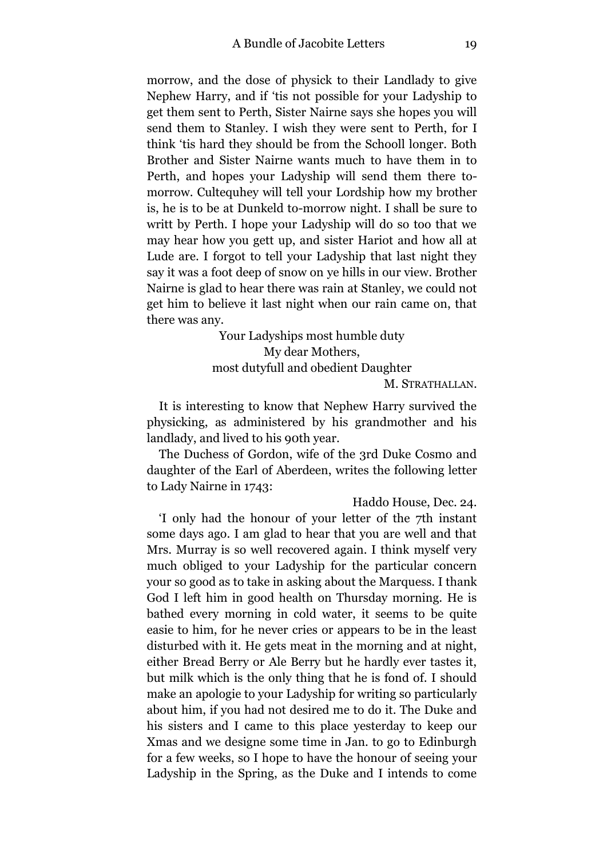morrow, and the dose of physick to their Landlady to give Nephew Harry, and if 'tis not possible for your Ladyship to get them sent to Perth, Sister Nairne says she hopes you will send them to Stanley. I wish they were sent to Perth, for I think 'tis hard they should be from the Schooll longer. Both Brother and Sister Nairne wants much to have them in to Perth, and hopes your Ladyship will send them there tomorrow. Cultequhey will tell your Lordship how my brother is, he is to be at Dunkeld to-morrow night. I shall be sure to writt by Perth. I hope your Ladyship will do so too that we may hear how you gett up, and sister Hariot and how all at Lude are. I forgot to tell your Ladyship that last night they say it was a foot deep of snow on ye hills in our view. Brother Nairne is glad to hear there was rain at Stanley, we could not get him to believe it last night when our rain came on, that there was any.

> Your Ladyships most humble duty My dear Mothers, most dutyfull and obedient Daughter M*.* STRATHALLAN.

It is interesting to know that Nephew Harry survived the physicking, as administered by his grandmother and his landlady, and lived to his 90th year.

The Duchess of Gordon, wife of the 3rd Duke Cosmo and daughter of the Earl of Aberdeen, writes the following letter to Lady Nairne in 1743:

Haddo House, Dec. 24.

'I only had the honour of your letter of the 7th instant some days ago. I am glad to hear that you are well and that Mrs. Murray is so well recovered again. I think myself very much obliged to your Ladyship for the particular concern your so good as to take in asking about the Marquess. I thank God I left him in good health on Thursday morning. He is bathed every morning in cold water, it seems to be quite easie to him, for he never cries or appears to be in the least disturbed with it. He gets meat in the morning and at night, either Bread Berry or Ale Berry but he hardly ever tastes it, but milk which is the only thing that he is fond of. I should make an apologie to your Ladyship for writing so particularly about him, if you had not desired me to do it. The Duke and his sisters and I came to this place yesterday to keep our Xmas and we designe some time in Jan. to go to Edinburgh for a few weeks, so I hope to have the honour of seeing your Ladyship in the Spring, as the Duke and I intends to come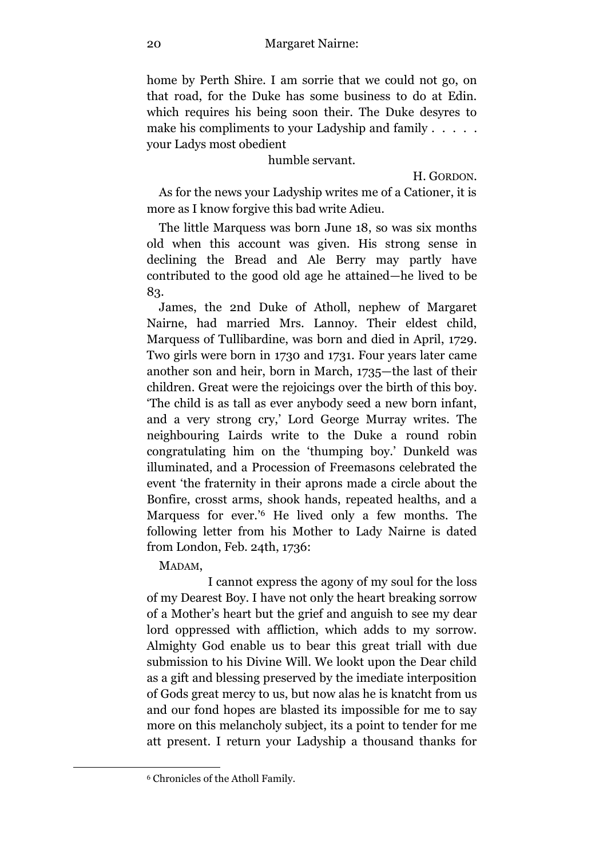home by Perth Shire. I am sorrie that we could not go, on that road, for the Duke has some business to do at Edin. which requires his being soon their. The Duke desyres to make his compliments to your Ladyship and family . . . . . your Ladys most obedient

#### humble servant.

H. GORDON.

As for the news your Ladyship writes me of a Cationer, it is more as I know forgive this bad write Adieu.

The little Marquess was born June 18, so was six months old when this account was given. His strong sense in declining the Bread and Ale Berry may partly have contributed to the good old age he attained—he lived to be 83.

James, the 2nd Duke of Atholl, nephew of Margaret Nairne, had married Mrs. Lannoy. Their eldest child, Marquess of Tullibardine, was born and died in April, 1729. Two girls were born in 1730 and 1731. Four years later came another son and heir, born in March, 1735—the last of their children. Great were the rejoicings over the birth of this boy. 'The child is as tall as ever anybody seed a new born infant, and a very strong cry,' Lord George Murray writes. The neighbouring Lairds write to the Duke a round robin congratulating him on the 'thumping boy.' Dunkeld was illuminated, and a Procession of Freemasons celebrated the event 'the fraternity in their aprons made a circle about the Bonfire, crosst arms, shook hands, repeated healths, and a Marquess for ever.' <sup>6</sup> He lived only a few months. The following letter from his Mother to Lady Nairne is dated from London, Feb. 24th, 1736:

MADAM,

<u>.</u>

I cannot express the agony of my soul for the loss of my Dearest Boy. I have not only the heart breaking sorrow of a Mother's heart but the grief and anguish to see my dear lord oppressed with affliction, which adds to my sorrow. Almighty God enable us to bear this great triall with due submission to his Divine Will. We lookt upon the Dear child as a gift and blessing preserved by the imediate interposition of Gods great mercy to us, but now alas he is knatcht from us and our fond hopes are blasted its impossible for me to say more on this melancholy subject, its a point to tender for me att present. I return your Ladyship a thousand thanks for

<sup>6</sup> Chronicles of the Atholl Family.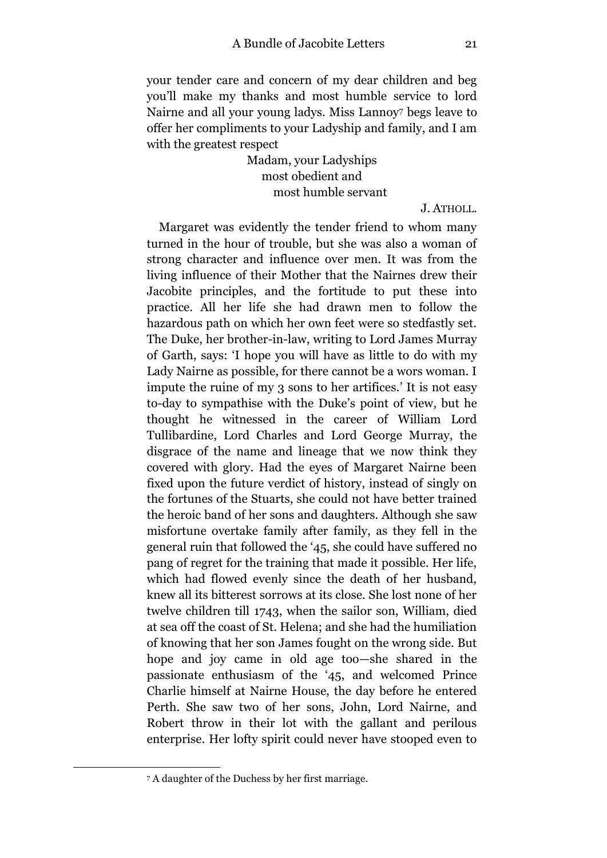your tender care and concern of my dear children and beg you'll make my thanks and most humble service to lord Nairne and all your young ladys. Miss Lannoy<sup>7</sup> begs leave to offer her compliments to your Ladyship and family, and I am with the greatest respect

> Madam, your Ladyships most obedient and most humble servant

> > J. ATHOLL.

Margaret was evidently the tender friend to whom many turned in the hour of trouble, but she was also a woman of strong character and influence over men. It was from the living influence of their Mother that the Nairnes drew their Jacobite principles, and the fortitude to put these into practice. All her life she had drawn men to follow the hazardous path on which her own feet were so stedfastly set. The Duke, her brother-in-law, writing to Lord James Murray of Garth, says: 'I hope you will have as little to do with my Lady Nairne as possible, for there cannot be a wors woman. I impute the ruine of my 3 sons to her artifices.' It is not easy to-day to sympathise with the Duke's point of view, but he thought he witnessed in the career of William Lord Tullibardine, Lord Charles and Lord George Murray, the disgrace of the name and lineage that we now think they covered with glory. Had the eyes of Margaret Nairne been fixed upon the future verdict of history, instead of singly on the fortunes of the Stuarts, she could not have better trained the heroic band of her sons and daughters. Although she saw misfortune overtake family after family, as they fell in the general ruin that followed the '45, she could have suffered no pang of regret for the training that made it possible. Her life, which had flowed evenly since the death of her husband, knew all its bitterest sorrows at its close. She lost none of her twelve children till 1743, when the sailor son, William, died at sea off the coast of St. Helena; and she had the humiliation of knowing that her son James fought on the wrong side. But hope and joy came in old age too—she shared in the passionate enthusiasm of the '45, and welcomed Prince Charlie himself at Nairne House, the day before he entered Perth. She saw two of her sons, John, Lord Nairne, and Robert throw in their lot with the gallant and perilous enterprise. Her lofty spirit could never have stooped even to

<sup>7</sup> A daughter of the Duchess by her first marriage.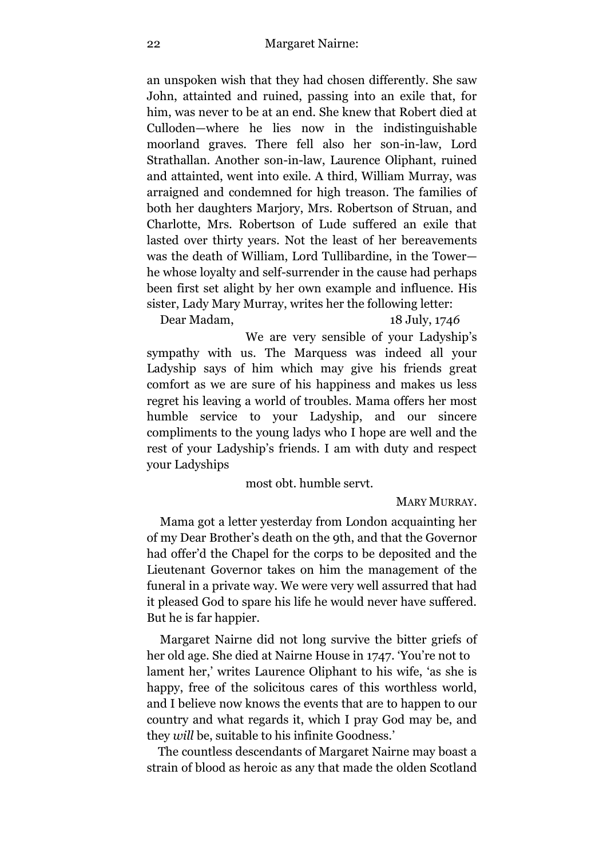an unspoken wish that they had chosen differently. She saw John, attainted and ruined, passing into an exile that, for him, was never to be at an end. She knew that Robert died at Culloden—where he lies now in the indistinguishable moorland graves. There fell also her son-in-law, Lord Strathallan. Another son-in-law, Laurence Oliphant, ruined and attainted, went into exile. A third, William Murray, was arraigned and condemned for high treason. The families of both her daughters Marjory, Mrs. Robertson of Struan, and Charlotte, Mrs. Robertson of Lude suffered an exile that lasted over thirty years. Not the least of her bereavements was the death of William, Lord Tullibardine, in the Tower he whose loyalty and self-surrender in the cause had perhaps been first set alight by her own example and influence. His sister, Lady Mary Murray, writes her the following letter:

Dear Madam, 18 July, 174*6*

We are very sensible of your Ladyship's sympathy with us. The Marquess was indeed all your Ladyship says of him which may give his friends great comfort as we are sure of his happiness and makes us less regret his leaving a world of troubles. Mama offers her most humble service to your Ladyship, and our sincere compliments to the young ladys who I hope are well and the rest of your Ladyship's friends. I am with duty and respect your Ladyships

#### most obt. humble servt.

#### MARY MURRAY.

Mama got a letter yesterday from London acquainting her of my Dear Brother's death on the 9th, and that the Governor had offer'd the Chapel for the corps to be deposited and the Lieutenant Governor takes on him the management of the funeral in a private way. We were very well assurred that had it pleased God to spare his life he would never have suffered. But he is far happier.

Margaret Nairne did not long survive the bitter griefs of her old age. She died at Nairne House in 1747. 'You're not to lament her,' writes Laurence Oliphant to his wife, 'as she is happy, free of the solicitous cares of this worthless world, and I believe now knows the events that are to happen to our country and what regards it, which I pray God may be, and they *will* be, suitable to his infinite Goodness.'

The countless descendants of Margaret Nairne may boast a strain of blood as heroic as any that made the olden Scotland